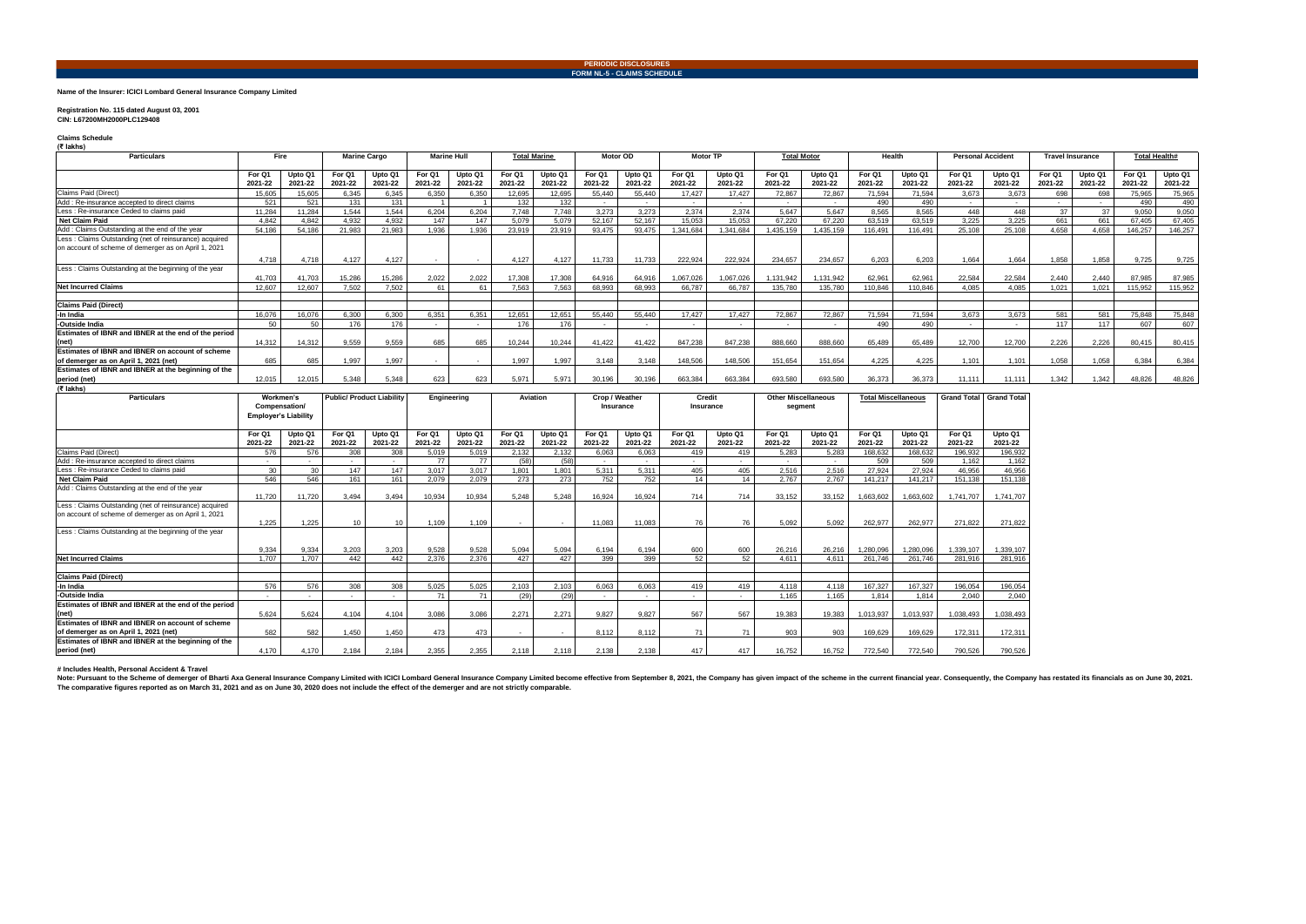## **Name of the Insurer: ICICI Lombard General Insurance Company Limited**

## **Registration No. 115 dated August 03, 2001**

**CIN: L67200MH2000PLC129408** 

**Claims Schedule (₹ lakhs)**

Note: Pursuant to the Scheme of demerger of Bharti Axa General Insurance Company Limited with ICICI Lombard General Insurance Company Limited become effective from September 8, 2021, the Company has given impact of the sch **The comparative figures reported as on March 31, 2021 and as on June 30, 2020 does not include the effect of the demerger and are not strictly comparable.**

| <b>Particulars</b>                                                                                             | Fire                                                      |                    | <b>Marine Cargo</b> |                    | <b>Marine Hull</b> |                        | <b>Total Marine</b> |                                 | <b>Motor OD</b>   |                    | <b>Motor TP</b>   |                    | <b>Total Motor</b>       |                    | Health                     |                    | <b>Personal Accident</b> |                            | <b>Travel Insurance</b>    |                    | <b>Total Health#</b>           |                    |  |  |  |  |
|----------------------------------------------------------------------------------------------------------------|-----------------------------------------------------------|--------------------|---------------------|--------------------|--------------------|------------------------|---------------------|---------------------------------|-------------------|--------------------|-------------------|--------------------|--------------------------|--------------------|----------------------------|--------------------|--------------------------|----------------------------|----------------------------|--------------------|--------------------------------|--------------------|--|--|--|--|
|                                                                                                                | For Q1<br>2021-22                                         | Upto Q1<br>2021-22 | For Q1<br>2021-22   | Upto Q1<br>2021-22 | For Q1<br>2021-22  | Upto Q1<br>2021-22     | For Q1<br>2021-22   | Upto Q1<br>2021-22              | For Q1<br>2021-22 | Upto Q1<br>2021-22 | For Q1<br>2021-22 | Upto Q1<br>2021-22 | For Q1<br>2021-22        | Upto Q1<br>2021-22 | For Q1<br>2021-22          | Upto Q1<br>2021-22 | For Q1<br>2021-22        | Upto Q1<br>2021-22         | For Q1<br>2021-22          | Upto Q1<br>2021-22 | For Q1<br>2021-22              | Upto Q1<br>2021-22 |  |  |  |  |
| Claims Paid (Direct)                                                                                           | 15,605                                                    | 15.605             | 6.345               | 6,345              | 6,350              | 6.350                  | 12,695              | 12.695                          | 55,440            | 55.440             | 17,427            | 17.427             | 72,867                   | 72,867             | 71,594                     | 71,594             | 3,673                    | 3.673                      | 698                        | 698                | 75.965                         | 75,965             |  |  |  |  |
| Add: Re-insurance accepted to direct claims                                                                    | 521                                                       | 521                | 131                 | 131                |                    |                        | 132                 | 132                             |                   |                    | $\sim$            |                    | $\sim$                   | $\sim$             | 490                        | 490                | $\sim$                   | $\sim$                     | $\sim$                     |                    | 490                            | 490                |  |  |  |  |
| Less: Re-insurance Ceded to claims paid                                                                        | 11.284                                                    | 11.284             | 1.544               | 1.544              | 6.204              | 6.204                  | 7.748               | 7.748                           | 3.273             | 3.273              | 2.374             | 2.374              | 5.647                    | 5.647              | 8.565                      | 8.565              | 448                      | 448                        | 37                         | 37                 | 9.050                          | 9,050              |  |  |  |  |
| <b>Net Claim Paid</b>                                                                                          | 4.842                                                     | 4.842              | 4.932               | 4.932              | 147                | 147                    | 5,079               | 5.079                           | 52.167            | 52.167             | 15.053            | 15.053             | 67.220                   | 67.220             | 63,519                     | 63.519             | 3.225                    | 3.225                      | 661                        | 661                | 67.405                         | 67,405             |  |  |  |  |
| Add: Claims Outstanding at the end of the year                                                                 | 54.186                                                    | 54.186             | 21.983              | 21.983             | 1.936              | 1.936                  | 23.919              | 23.919                          | 93.475            | 93.475             | 1.341.684         | 1.341.684          | 1.435.159                | 1.435.159          | 116.491                    | 116.491            | 25.108                   | 25.108                     | 4.658                      | 4.658              | 146.257                        | 146.257            |  |  |  |  |
| Less: Claims Outstanding (net of reinsurance) acquired<br>on account of scheme of demerger as on April 1, 2021 | 4.718                                                     | 4.718              | 4.127               | 4.127              | $\sim$ $-$         | $\sim$                 | 4.127               | 4.127                           | 11.733            | 11.733             | 222.924           | 222.924            | 234.657                  | 234.657            | 6.203                      | 6.203              | 1.664                    | 1.664                      | 1.858                      | 1.858              | 9.725                          | 9,725              |  |  |  |  |
| Less: Claims Outstanding at the beginning of the year                                                          | 41.703                                                    | 41.703             | 15.286              | 15.286             | 2.022              | 2.022                  | 17,308              | 17.308                          | 64.916            | 64.916             | 1.067.026         | 1.067.026          | 1.131.942                | .131.942           | 62.961                     | 62.961             | 22.584                   | 22.584                     | 2.440                      | 2.440              | 87.985                         | 87,985             |  |  |  |  |
| <b>Net Incurred Claims</b>                                                                                     | 12.607                                                    | 12.607             | 7.502               | 7.502              | 61                 | 61                     | 7.563               | 7.563                           | 68.993            | 68.993             | 66.787            | 66.787             | 135,780                  | 135.780            | 110.846                    | 110.846            | 4.085                    | 4.085                      | 1.021                      | 1.021              | 115.952                        | 115.952            |  |  |  |  |
| <b>Claims Paid (Direct)</b>                                                                                    |                                                           |                    |                     |                    |                    |                        |                     |                                 |                   |                    |                   |                    |                          |                    |                            |                    |                          |                            |                            |                    |                                |                    |  |  |  |  |
| -In India                                                                                                      | 16,076                                                    | 16,076             | 6,300               | 6,300              | 6,351              | 6,351                  | 12,651              | 12,651                          | 55,440            | 55,440             | 17,427            | 17,427             | 72,867                   | 72,867             | 71,594                     | 71,594             | 3,673                    | 3,673                      | 581                        | 581                | 75,848                         | 75,848             |  |  |  |  |
| -Outside India                                                                                                 | 50                                                        | 50                 | 176                 | 176                | $\sim$             | $\sim$                 | 176                 | 176                             |                   | $\sim$             | $\sim$            |                    | $\overline{\phantom{a}}$ | $\sim$             | 490                        | 490                | $\sim$                   | $\sim$                     | 117                        | 117                | 607                            | 607                |  |  |  |  |
| Estimates of IBNR and IBNER at the end of the period<br>(net)                                                  | 14.312                                                    | 14.312             | 9,559               | 9,559              | 685                | 685                    | 10.244              | 10.244                          | 41.422            | 41.422             | 847.238           | 847.238            | 888.660                  | 888.660            | 65.489                     | 65.489             | 12.700                   | 12.700                     | 2,226                      | 2,226              | 80.415                         | 80,415             |  |  |  |  |
| Estimates of IBNR and IBNER on account of scheme<br>of demerger as on April 1, 2021 (net)                      | 685                                                       | 685                | 1.997               | 1.997              |                    | $\sim$                 | 1.997               | 1.997                           | 3.148             | 3.148              | 148,506           | 148.506            | 151.654                  | 151.654            | 4.225                      | 4.225              | 1.101                    | 1.101                      | 1.058                      | 1.058              | 6.384                          | 6.384              |  |  |  |  |
| Estimates of IBNR and IBNER at the beginning of the<br>period (net)                                            | 12.015                                                    | 12.015             | 5.348               | 5.348              | 623                | 623                    | 5.97                | 5.971                           | 30.196            | 30.196             | 663.384           | 663.384            | 693.580                  | 693.580            | 36.373                     | 36.373             | 11.111                   | 11.111                     | 1.342                      | 1.342              | 48.826                         | 48.826             |  |  |  |  |
| (₹ lakhs)                                                                                                      |                                                           |                    |                     |                    |                    |                        |                     |                                 |                   |                    |                   |                    |                          |                    |                            |                    |                          |                            |                            |                    |                                |                    |  |  |  |  |
| <b>Particulars</b>                                                                                             | Workmen's<br>Compensation/<br><b>Employer's Liability</b> |                    |                     |                    |                    |                        |                     | <b>Public/Product Liability</b> |                   | Engineering        | Aviation          |                    | Crop / Weather           | Insurance          | Credit<br><b>Insurance</b> |                    | segment                  | <b>Other Miscellaneous</b> | <b>Total Miscellaneous</b> |                    | <b>Grand Total Grand Total</b> |                    |  |  |  |  |
|                                                                                                                | For Q1                                                    | Upto Q1            | For Q1              | Upto Q1            | For Q1<br>---- --  | Upto Q1<br>$- - - - -$ | For Q1              | Upto Q1                         | For Q1            | Upto Q1            | For Q1            | Upto Q1            | For Q1                   | Upto Q1            | For Q1                     | Upto Q1            | For Q1                   | Upto Q1                    |                            |                    |                                |                    |  |  |  |  |

| r al titulai s                                                                                                 | Compensation/<br><b>Employer's Liability</b> |                    | <b>WULNILIGII 3</b> |                    | τυνικα πτυναντισμοπικ |                    | Lugureering       |                          | Aviation          |                    | <b>UIUP</b> / Weather<br>Insurance |                    | vr curt<br>Insurance |                    | <b>ULIICI MISUCHANGUUS</b><br>segment |                    | I Ulai IIII Suollallouus |                    |  | Gianu Tutai   Gianu Tutai |
|----------------------------------------------------------------------------------------------------------------|----------------------------------------------|--------------------|---------------------|--------------------|-----------------------|--------------------|-------------------|--------------------------|-------------------|--------------------|------------------------------------|--------------------|----------------------|--------------------|---------------------------------------|--------------------|--------------------------|--------------------|--|---------------------------|
|                                                                                                                | For Q1<br>2021-22                            | Upto Q1<br>2021-22 | For Q1<br>2021-22   | Upto Q1<br>2021-22 | For Q1<br>2021-22     | Upto Q1<br>2021-22 | For Q1<br>2021-22 | Upto Q1<br>2021-22       | For Q1<br>2021-22 | Upto Q1<br>2021-22 | For Q1<br>2021-22                  | Upto Q1<br>2021-22 | For Q1<br>2021-22    | Upto Q1<br>2021-22 | For Q1<br>2021-22                     | Upto Q1<br>2021-22 | For Q1<br>2021-22        | Upto Q1<br>2021-22 |  |                           |
| Claims Paid (Direct)                                                                                           | 576                                          | 576                | 308                 | 308                | 5.019                 | 5.019              | 2.132             | 2.132                    | 6.063             | 6.063              | 419                                | 419                | 5.283                | 5.283              | 168.632                               | 168.632            | 196.932                  | 196,932            |  |                           |
| Add: Re-insurance accepted to direct claims                                                                    | $\sim$                                       |                    |                     | $\sim$             | 77                    | 77                 | (58)              | (58)                     | $\sim$            | $\sim$             | $\sim$                             | $\sim$             | $\sim$               |                    | 509                                   | 509                | 1.162                    | 1,162              |  |                           |
| Less: Re-insurance Ceded to claims paid                                                                        | 30                                           | 30                 | 147                 | 147                | 3.017                 | 3.017              | 1.801             | 1.801                    | 5.311             | 5.311              | 405                                | 405                | 2.516                | 2.516              | 27.924                                | 27.924             | 46.956                   | 46,956             |  |                           |
| <b>Net Claim Paid</b>                                                                                          | 546                                          | 546                | 161                 | 161                | 2.079                 | 2.079              | 273               | 273                      | 752               | 752                | 14                                 | 14                 | 2.767                | 2.767              | 141.217                               | 141.217            | 151.138                  | 151,138            |  |                           |
| Add: Claims Outstanding at the end of the year                                                                 | 11,720                                       | 11,720             | 3,494               | 3,494              | 10,934                | 10,934             | 5.248             | 5.248                    | 16.924            | 16.924             | 714                                | 714                | 33,152               | 33,152             | 1,663,602                             | 1,663,602          | 1.741.707                | 1.741.707          |  |                           |
| Less: Claims Outstanding (net of reinsurance) acquired<br>on account of scheme of demerger as on April 1, 2021 | 1.225                                        | 1.225              | 10 <sup>°</sup>     | 10                 | 1.109                 | 1.109              |                   | $\sim$                   | 11,083            | 11.083             | 76                                 | 76                 | 5.092                | 5.092              | 262,977                               | 262,977            | 271.822                  | 271.822            |  |                           |
| Less: Claims Outstanding at the beginning of the year                                                          | 9.334                                        | 9.334              | 3.203               | 3.203              | 9.528                 | 9.528              | 5.094             | 5.094                    | 6.194             | 6.194              | 600                                | 600                | 26.216               | 26.216             | 1.280.096                             | 1.280.096          | 1.339.107                | 1.339.107          |  |                           |
| <b>Net Incurred Claims</b>                                                                                     | 1.707                                        | 1.707              | 442                 | 442                | 2.376                 | 2.376              | 427               | 427                      | 399               | 399                | 52                                 | 52                 | 4.611                | 4.611              | 261.746                               | 261,746            | 281.916                  | 281,916            |  |                           |
| <b>Claims Paid (Direct)</b>                                                                                    |                                              |                    |                     |                    |                       |                    |                   |                          |                   |                    |                                    |                    |                      |                    |                                       |                    |                          |                    |  |                           |
| -In India                                                                                                      | 576                                          | 576                | 308                 | 308                | 5.025                 | 5.025              | 2.103             | 2.103                    | 6.063             | 6.063              | 419                                | 419                | 4.118                | 4.118              | 167.327                               | 167,327            | 196.054                  | 196,054            |  |                           |
| -Outside India                                                                                                 | $\overline{\phantom{a}}$                     |                    |                     |                    | 71                    | 71                 | (29)              | (29)                     | $\sim$            | $\sim$             |                                    |                    | 1.165                | 1.165              | 1.814                                 | 1.814              | 2.040                    | 2,040              |  |                           |
| Estimates of IBNR and IBNER at the end of the period<br>(net)                                                  | 5.624                                        | 5.624              | 4.104               | 4.104              | 3.086                 | 3.086              | 2.271             | 2.271                    | 9.827             | 9.827              | 567                                | 567                | 19,383               | 19.383             | 1.013.937                             | 1.013.937          | 1.038.493                | 1.038.493          |  |                           |
| <b>Estimates of IBNR and IBNER on account of scheme</b><br>of demerger as on April 1, 2021 (net)               | 582                                          | 582                | 1,450               | 1,450              | 473                   | 473                | $\sim$            | $\overline{\phantom{a}}$ | 8,112             | 8.112              | 71                                 | 71                 | 903                  | 903                | 169,629                               | 169,629            | 172,311                  | 172,311            |  |                           |
| Estimates of IBNR and IBNER at the beginning of the<br>period (net)                                            | 4.170                                        | 4.170              | 2.184               | 2.184              | 2.355                 | 2.355              | 2.118             | 2.118                    | 2.138             | 2.138              | 417                                | 417                | 16,752               | 16.752             | 772.540                               | 772,540            | 790.526                  | 790.526            |  |                           |

**# Includes Health, Personal Accident & Travel**